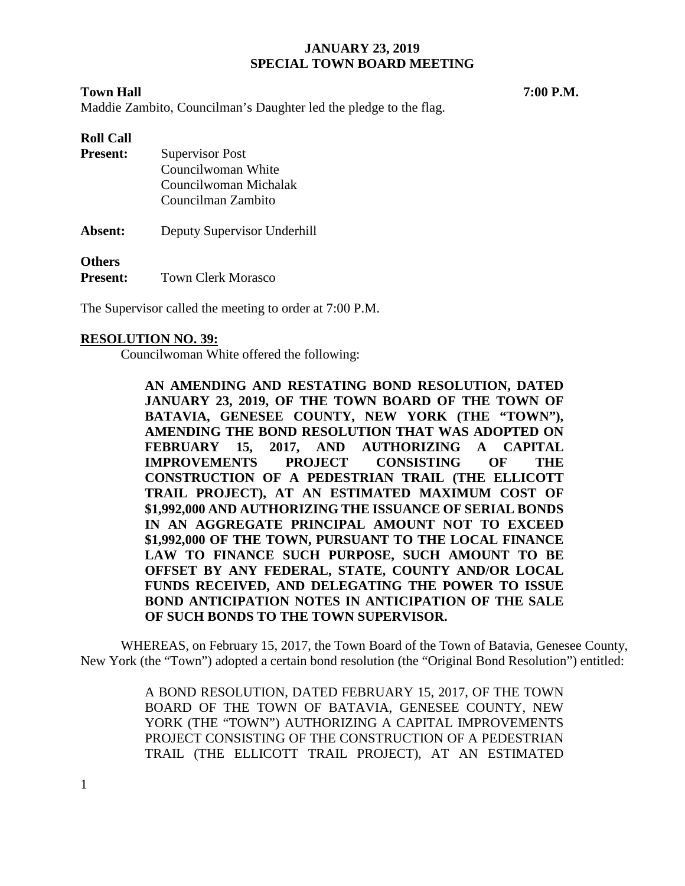## **Town Hall 7:00 P.M.**

Maddie Zambito, Councilman's Daughter led the pledge to the flag.

### **Roll Call**

| <b>Present:</b> | <b>Supervisor Post</b>      |  |  |
|-----------------|-----------------------------|--|--|
|                 | Councilwoman White          |  |  |
|                 | Councilwoman Michalak       |  |  |
|                 | Councilman Zambito          |  |  |
| Absent:         | Deputy Supervisor Underhill |  |  |

**Others**

**Present:** Town Clerk Morasco

The Supervisor called the meeting to order at 7:00 P.M.

#### **RESOLUTION NO. 39:**

Councilwoman White offered the following:

**AN AMENDING AND RESTATING BOND RESOLUTION, DATED**  JANUARY 23, 2019, OF THE TOWN BOARD OF THE TOWN OF **BATAVIA, GENESEE COUNTY, NEW YORK (THE "TOWN"), AMENDING THE BOND RESOLUTION THAT WAS ADOPTED ON FEBRUARY 15, 2017, AND AUTHORIZING A CAPITAL IMPROVEMENTS PROJECT CONSISTING OF THE CONSTRUCTION OF A PEDESTRIAN TRAIL (THE ELLICOTT TRAIL PROJECT), AT AN ESTIMATED MAXIMUM COST OF \$1,992,000 AND AUTHORIZING THE ISSUANCE OF SERIAL BONDS IN AN AGGREGATE PRINCIPAL AMOUNT NOT TO EXCEED \$1,992,000 OF THE TOWN, PURSUANT TO THE LOCAL FINANCE LAW TO FINANCE SUCH PURPOSE, SUCH AMOUNT TO BE OFFSET BY ANY FEDERAL, STATE, COUNTY AND/OR LOCAL FUNDS RECEIVED, AND DELEGATING THE POWER TO ISSUE BOND ANTICIPATION NOTES IN ANTICIPATION OF THE SALE OF SUCH BONDS TO THE TOWN SUPERVISOR.**

WHEREAS, on February 15, 2017, the Town Board of the Town of Batavia, Genesee County, New York (the "Town") adopted a certain bond resolution (the "Original Bond Resolution") entitled:

> A BOND RESOLUTION, DATED FEBRUARY 15, 2017, OF THE TOWN BOARD OF THE TOWN OF BATAVIA, GENESEE COUNTY, NEW YORK (THE "TOWN") AUTHORIZING A CAPITAL IMPROVEMENTS PROJECT CONSISTING OF THE CONSTRUCTION OF A PEDESTRIAN TRAIL (THE ELLICOTT TRAIL PROJECT), AT AN ESTIMATED

1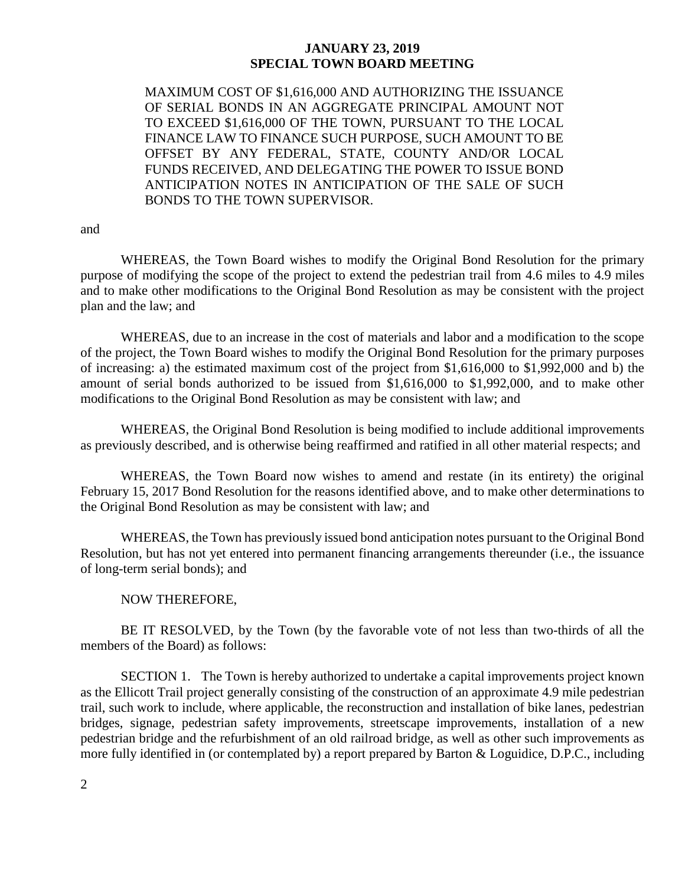MAXIMUM COST OF \$1,616,000 AND AUTHORIZING THE ISSUANCE OF SERIAL BONDS IN AN AGGREGATE PRINCIPAL AMOUNT NOT TO EXCEED \$1,616,000 OF THE TOWN, PURSUANT TO THE LOCAL FINANCE LAW TO FINANCE SUCH PURPOSE, SUCH AMOUNT TO BE OFFSET BY ANY FEDERAL, STATE, COUNTY AND/OR LOCAL FUNDS RECEIVED, AND DELEGATING THE POWER TO ISSUE BOND ANTICIPATION NOTES IN ANTICIPATION OF THE SALE OF SUCH BONDS TO THE TOWN SUPERVISOR.

and

WHEREAS, the Town Board wishes to modify the Original Bond Resolution for the primary purpose of modifying the scope of the project to extend the pedestrian trail from 4.6 miles to 4.9 miles and to make other modifications to the Original Bond Resolution as may be consistent with the project plan and the law; and

WHEREAS, due to an increase in the cost of materials and labor and a modification to the scope of the project, the Town Board wishes to modify the Original Bond Resolution for the primary purposes of increasing: a) the estimated maximum cost of the project from \$1,616,000 to \$1,992,000 and b) the amount of serial bonds authorized to be issued from \$1,616,000 to \$1,992,000, and to make other modifications to the Original Bond Resolution as may be consistent with law; and

WHEREAS, the Original Bond Resolution is being modified to include additional improvements as previously described, and is otherwise being reaffirmed and ratified in all other material respects; and

WHEREAS, the Town Board now wishes to amend and restate (in its entirety) the original February 15, 2017 Bond Resolution for the reasons identified above, and to make other determinations to the Original Bond Resolution as may be consistent with law; and

WHEREAS, the Town has previously issued bond anticipation notes pursuant to the Original Bond Resolution, but has not yet entered into permanent financing arrangements thereunder (i.e., the issuance of long-term serial bonds); and

#### NOW THEREFORE,

BE IT RESOLVED, by the Town (by the favorable vote of not less than two-thirds of all the members of the Board) as follows:

SECTION 1. The Town is hereby authorized to undertake a capital improvements project known as the Ellicott Trail project generally consisting of the construction of an approximate 4.9 mile pedestrian trail, such work to include, where applicable, the reconstruction and installation of bike lanes, pedestrian bridges, signage, pedestrian safety improvements, streetscape improvements, installation of a new pedestrian bridge and the refurbishment of an old railroad bridge, as well as other such improvements as more fully identified in (or contemplated by) a report prepared by Barton & Loguidice, D.P.C., including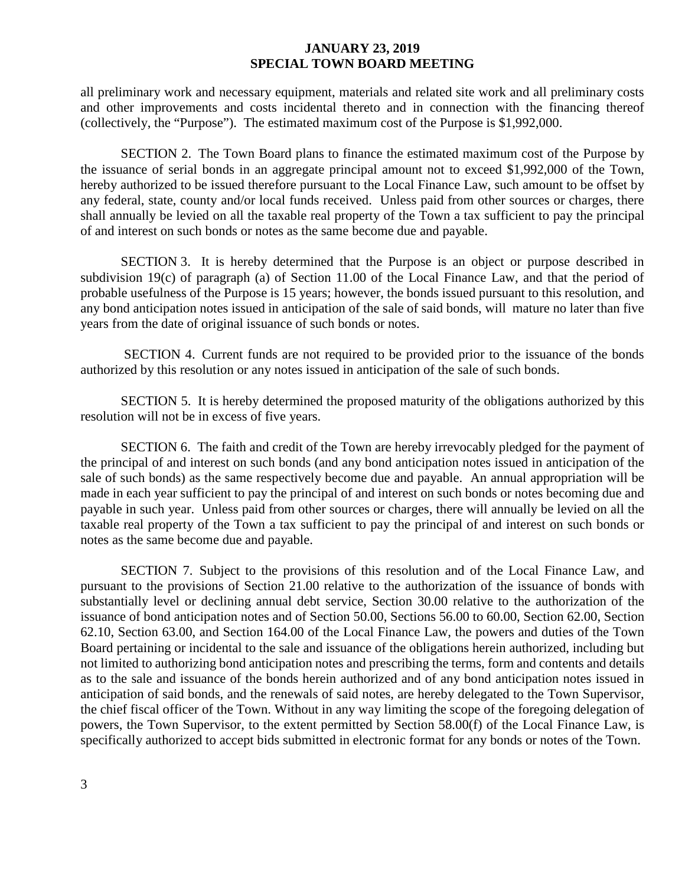all preliminary work and necessary equipment, materials and related site work and all preliminary costs and other improvements and costs incidental thereto and in connection with the financing thereof (collectively, the "Purpose"). The estimated maximum cost of the Purpose is \$1,992,000.

SECTION 2. The Town Board plans to finance the estimated maximum cost of the Purpose by the issuance of serial bonds in an aggregate principal amount not to exceed \$1,992,000 of the Town, hereby authorized to be issued therefore pursuant to the Local Finance Law, such amount to be offset by any federal, state, county and/or local funds received. Unless paid from other sources or charges, there shall annually be levied on all the taxable real property of the Town a tax sufficient to pay the principal of and interest on such bonds or notes as the same become due and payable.

SECTION 3. It is hereby determined that the Purpose is an object or purpose described in subdivision 19(c) of paragraph (a) of Section 11.00 of the Local Finance Law, and that the period of probable usefulness of the Purpose is 15 years; however, the bonds issued pursuant to this resolution, and any bond anticipation notes issued in anticipation of the sale of said bonds, will mature no later than five years from the date of original issuance of such bonds or notes.

SECTION 4. Current funds are not required to be provided prior to the issuance of the bonds authorized by this resolution or any notes issued in anticipation of the sale of such bonds.

SECTION 5. It is hereby determined the proposed maturity of the obligations authorized by this resolution will not be in excess of five years.

SECTION 6. The faith and credit of the Town are hereby irrevocably pledged for the payment of the principal of and interest on such bonds (and any bond anticipation notes issued in anticipation of the sale of such bonds) as the same respectively become due and payable. An annual appropriation will be made in each year sufficient to pay the principal of and interest on such bonds or notes becoming due and payable in such year. Unless paid from other sources or charges, there will annually be levied on all the taxable real property of the Town a tax sufficient to pay the principal of and interest on such bonds or notes as the same become due and payable.

SECTION 7. Subject to the provisions of this resolution and of the Local Finance Law, and pursuant to the provisions of Section 21.00 relative to the authorization of the issuance of bonds with substantially level or declining annual debt service, Section 30.00 relative to the authorization of the issuance of bond anticipation notes and of Section 50.00, Sections 56.00 to 60.00, Section 62.00, Section 62.10, Section 63.00, and Section 164.00 of the Local Finance Law, the powers and duties of the Town Board pertaining or incidental to the sale and issuance of the obligations herein authorized, including but not limited to authorizing bond anticipation notes and prescribing the terms, form and contents and details as to the sale and issuance of the bonds herein authorized and of any bond anticipation notes issued in anticipation of said bonds, and the renewals of said notes, are hereby delegated to the Town Supervisor, the chief fiscal officer of the Town. Without in any way limiting the scope of the foregoing delegation of powers, the Town Supervisor, to the extent permitted by Section 58.00(f) of the Local Finance Law, is specifically authorized to accept bids submitted in electronic format for any bonds or notes of the Town.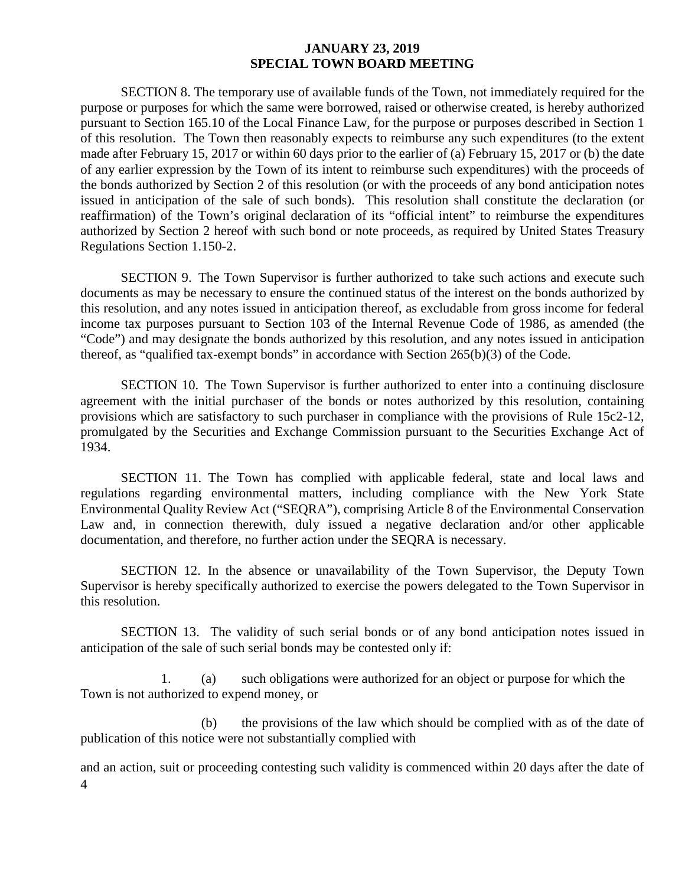SECTION 8. The temporary use of available funds of the Town, not immediately required for the purpose or purposes for which the same were borrowed, raised or otherwise created, is hereby authorized pursuant to Section 165.10 of the Local Finance Law, for the purpose or purposes described in Section 1 of this resolution. The Town then reasonably expects to reimburse any such expenditures (to the extent made after February 15, 2017 or within 60 days prior to the earlier of (a) February 15, 2017 or (b) the date of any earlier expression by the Town of its intent to reimburse such expenditures) with the proceeds of the bonds authorized by Section 2 of this resolution (or with the proceeds of any bond anticipation notes issued in anticipation of the sale of such bonds). This resolution shall constitute the declaration (or reaffirmation) of the Town's original declaration of its "official intent" to reimburse the expenditures authorized by Section 2 hereof with such bond or note proceeds, as required by United States Treasury Regulations Section 1.150-2.

SECTION 9. The Town Supervisor is further authorized to take such actions and execute such documents as may be necessary to ensure the continued status of the interest on the bonds authorized by this resolution, and any notes issued in anticipation thereof, as excludable from gross income for federal income tax purposes pursuant to Section 103 of the Internal Revenue Code of 1986, as amended (the "Code") and may designate the bonds authorized by this resolution, and any notes issued in anticipation thereof, as "qualified tax-exempt bonds" in accordance with Section 265(b)(3) of the Code.

SECTION 10. The Town Supervisor is further authorized to enter into a continuing disclosure agreement with the initial purchaser of the bonds or notes authorized by this resolution, containing provisions which are satisfactory to such purchaser in compliance with the provisions of Rule 15c2-12, promulgated by the Securities and Exchange Commission pursuant to the Securities Exchange Act of 1934.

SECTION 11. The Town has complied with applicable federal, state and local laws and regulations regarding environmental matters, including compliance with the New York State Environmental Quality Review Act ("SEQRA"), comprising Article 8 of the Environmental Conservation Law and, in connection therewith, duly issued a negative declaration and/or other applicable documentation, and therefore, no further action under the SEQRA is necessary.

SECTION 12. In the absence or unavailability of the Town Supervisor, the Deputy Town Supervisor is hereby specifically authorized to exercise the powers delegated to the Town Supervisor in this resolution.

SECTION 13. The validity of such serial bonds or of any bond anticipation notes issued in anticipation of the sale of such serial bonds may be contested only if:

1. (a) such obligations were authorized for an object or purpose for which the Town is not authorized to expend money, or

(b) the provisions of the law which should be complied with as of the date of publication of this notice were not substantially complied with

4 and an action, suit or proceeding contesting such validity is commenced within 20 days after the date of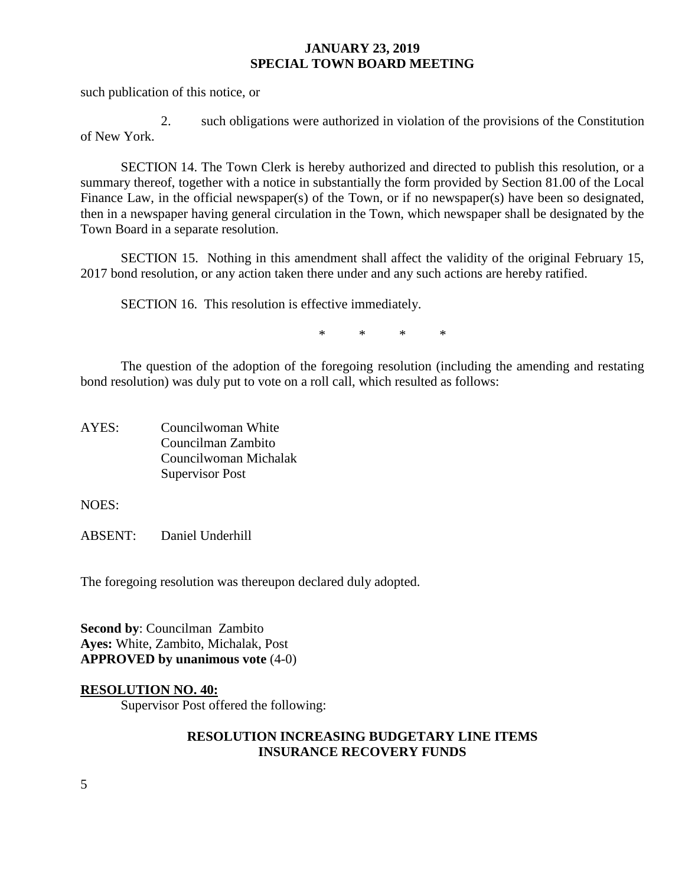such publication of this notice, or

2. such obligations were authorized in violation of the provisions of the Constitution of New York.

SECTION 14. The Town Clerk is hereby authorized and directed to publish this resolution, or a summary thereof, together with a notice in substantially the form provided by Section 81.00 of the Local Finance Law, in the official newspaper(s) of the Town, or if no newspaper(s) have been so designated, then in a newspaper having general circulation in the Town, which newspaper shall be designated by the Town Board in a separate resolution.

SECTION 15. Nothing in this amendment shall affect the validity of the original February 15, 2017 bond resolution, or any action taken there under and any such actions are hereby ratified.

SECTION 16. This resolution is effective immediately.

\* \* \* \*

The question of the adoption of the foregoing resolution (including the amending and restating bond resolution) was duly put to vote on a roll call, which resulted as follows:

AYES: Councilwoman White Councilman Zambito Councilwoman Michalak Supervisor Post

NOES:

ABSENT: Daniel Underhill

The foregoing resolution was thereupon declared duly adopted.

**Second by**: Councilman Zambito **Ayes:** White, Zambito, Michalak, Post **APPROVED by unanimous vote** (4-0)

### **RESOLUTION NO. 40:**

Supervisor Post offered the following:

#### **RESOLUTION INCREASING BUDGETARY LINE ITEMS INSURANCE RECOVERY FUNDS**